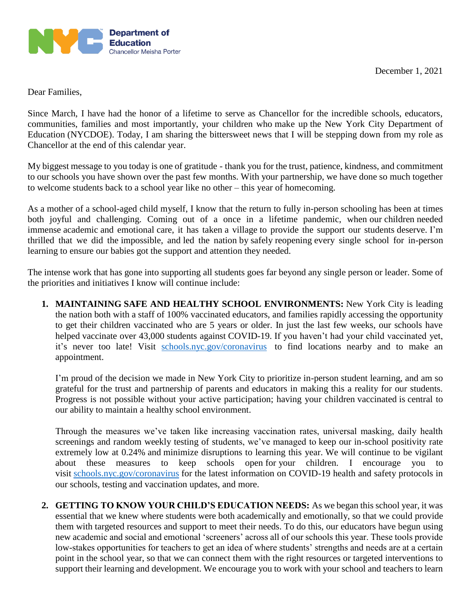

Dear Families,

Since March, I have had the honor of a lifetime to serve as Chancellor for the incredible schools, educators, communities, families and most importantly, your children who make up the New York City Department of Education (NYCDOE). Today, I am sharing the bittersweet news that I will be stepping down from my role as Chancellor at the end of this calendar year.

My biggest message to you today is one of gratitude - thank you for the trust, patience, kindness, and commitment to our schools you have shown over the past few months. With your partnership, we have done so much together to welcome students back to a school year like no other – this year of homecoming.

As a mother of a school-aged child myself, I know that the return to fully in-person schooling has been at times both joyful and challenging. Coming out of a once in a lifetime pandemic, when our children needed immense academic and emotional care, it has taken a village to provide the support our students deserve. I'm thrilled that we did the impossible, and led the nation by safely reopening every single school for in-person learning to ensure our babies got the support and attention they needed.

The intense work that has gone into supporting all students goes far beyond any single person or leader. Some of the priorities and initiatives I know will continue include:

**1. MAINTAINING SAFE AND HEALTHY SCHOOL ENVIRONMENTS:** New York City is leading the nation both with a staff of 100% vaccinated educators, and families rapidly accessing the opportunity to get their children vaccinated who are 5 years or older. In just the last few weeks, our schools have helped vaccinate over 43,000 students against COVID-19. If you haven't had your child vaccinated yet, it's never too late! Visit [schools.nyc.gov/coronavirus](https://schools.nyc.gov/coronavirus) to find locations nearby and to make an appointment.

I'm proud of the decision we made in New York City to prioritize in-person student learning, and am so grateful for the trust and partnership of parents and educators in making this a reality for our students. Progress is not possible without your active participation; having your children vaccinated is central to our ability to maintain a healthy school environment.

Through the measures we've taken like increasing vaccination rates, universal masking, daily health screenings and random weekly testing of students, we've managed to keep our in-school positivity rate extremely low at 0.24% and minimize disruptions to learning this year. We will continue to be vigilant about these measures to keep schools open for your children. I encourage you to visit [schools.nyc.gov/coronavirus](https://schools.nyc.gov/coronavirus) for the latest information on COVID-19 health and safety protocols in our schools, testing and vaccination updates, and more.

**2. GETTING TO KNOW YOUR CHILD'S EDUCATION NEEDS:** As we began this school year, it was essential that we knew where students were both academically and emotionally, so that we could provide them with targeted resources and support to meet their needs. To do this, our educators have begun using new academic and social and emotional 'screeners' across all of our schools this year. These tools provide low-stakes opportunities for teachers to get an idea of where students' strengths and needs are at a certain point in the school year, so that we can connect them with the right resources or targeted interventions to support their learning and development. We encourage you to work with your school and teachers to learn